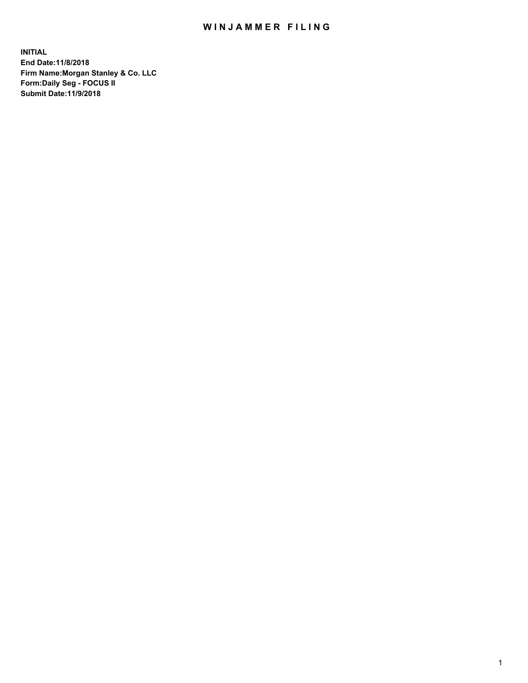## WIN JAMMER FILING

**INITIAL End Date:11/8/2018 Firm Name:Morgan Stanley & Co. LLC Form:Daily Seg - FOCUS II Submit Date:11/9/2018**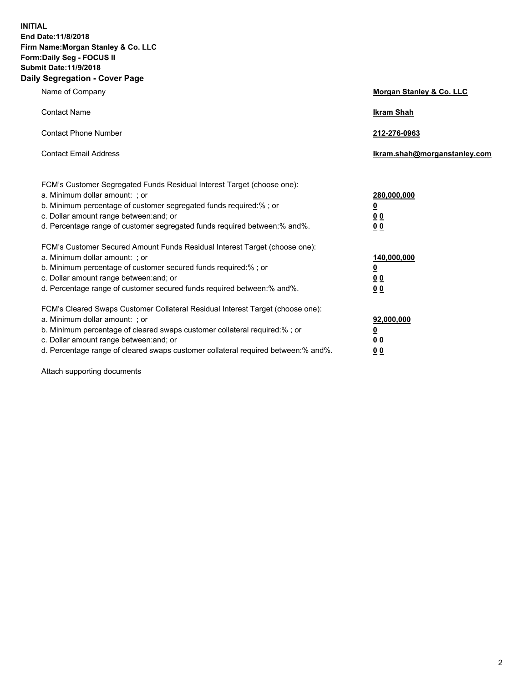**INITIAL End Date:11/8/2018 Firm Name:Morgan Stanley & Co. LLC Form:Daily Seg - FOCUS II Submit Date:11/9/2018 Daily Segregation - Cover Page**

| Name of Company                                                                                                                                                                                                                                                                                                                | Morgan Stanley & Co. LLC                               |
|--------------------------------------------------------------------------------------------------------------------------------------------------------------------------------------------------------------------------------------------------------------------------------------------------------------------------------|--------------------------------------------------------|
| <b>Contact Name</b>                                                                                                                                                                                                                                                                                                            | <b>Ikram Shah</b>                                      |
| <b>Contact Phone Number</b>                                                                                                                                                                                                                                                                                                    | 212-276-0963                                           |
| <b>Contact Email Address</b>                                                                                                                                                                                                                                                                                                   | Ikram.shah@morganstanley.com                           |
| FCM's Customer Segregated Funds Residual Interest Target (choose one):<br>a. Minimum dollar amount: ; or<br>b. Minimum percentage of customer segregated funds required:% ; or<br>c. Dollar amount range between: and; or<br>d. Percentage range of customer segregated funds required between:% and%.                         | 280,000,000<br><u>0</u><br><u>00</u><br>0 <sub>0</sub> |
| FCM's Customer Secured Amount Funds Residual Interest Target (choose one):<br>a. Minimum dollar amount: ; or<br>b. Minimum percentage of customer secured funds required:% ; or<br>c. Dollar amount range between: and; or<br>d. Percentage range of customer secured funds required between:% and%.                           | 140,000,000<br><u>0</u><br><u>00</u><br>00             |
| FCM's Cleared Swaps Customer Collateral Residual Interest Target (choose one):<br>a. Minimum dollar amount: ; or<br>b. Minimum percentage of cleared swaps customer collateral required:% ; or<br>c. Dollar amount range between: and; or<br>d. Percentage range of cleared swaps customer collateral required between:% and%. | 92,000,000<br><u>0</u><br><u>00</u><br>00              |

Attach supporting documents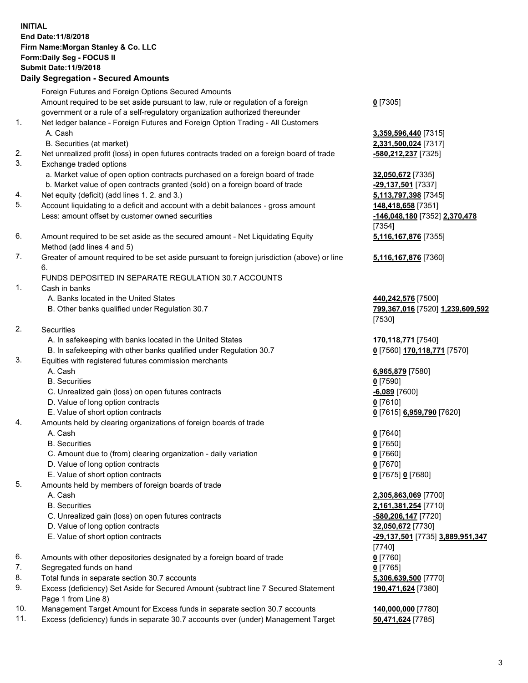## **INITIAL End Date:11/8/2018 Firm Name:Morgan Stanley & Co. LLC Form:Daily Seg - FOCUS II Submit Date:11/9/2018 Daily Segregation - Secured Amounts** Foreign Futures and Foreign Options Secured Amounts Amount required to be set aside pursuant to law, rule or regulation of a foreign government or a rule of a self-regulatory organization authorized thereunder

- 1. Net ledger balance Foreign Futures and Foreign Option Trading All Customers A. Cash **3,359,596,440** [7315]
	- B. Securities (at market) **2,331,500,024** [7317]
- 2. Net unrealized profit (loss) in open futures contracts traded on a foreign board of trade **-580,212,237** [7325]
- 3. Exchange traded options
	- a. Market value of open option contracts purchased on a foreign board of trade **32,050,672** [7335]
	- b. Market value of open contracts granted (sold) on a foreign board of trade **-29,137,501** [7337]
- 4. Net equity (deficit) (add lines 1. 2. and 3.) **5,113,797,398** [7345]
- 5. Account liquidating to a deficit and account with a debit balances gross amount **148,418,658** [7351] Less: amount offset by customer owned securities **-146,048,180** [7352] **2,370,478**
- 6. Amount required to be set aside as the secured amount Net Liquidating Equity Method (add lines 4 and 5)
- 7. Greater of amount required to be set aside pursuant to foreign jurisdiction (above) or line 6.

## FUNDS DEPOSITED IN SEPARATE REGULATION 30.7 ACCOUNTS

- 1. Cash in banks
	- A. Banks located in the United States **440,242,576** [7500]
	- B. Other banks qualified under Regulation 30.7 **799,367,016** [7520] **1,239,609,592**
- 2. Securities
	- A. In safekeeping with banks located in the United States **170,118,771** [7540]
	- B. In safekeeping with other banks qualified under Regulation 30.7 **0** [7560] **170,118,771** [7570]
- 3. Equities with registered futures commission merchants
	-
	- B. Securities **0** [7590]
	- C. Unrealized gain (loss) on open futures contracts **-6,089** [7600]
	- D. Value of long option contracts **0** [7610]
- E. Value of short option contracts **0** [7615] **6,959,790** [7620]
- 4. Amounts held by clearing organizations of foreign boards of trade
	- A. Cash **0** [7640]
	- B. Securities **0** [7650]
	- C. Amount due to (from) clearing organization daily variation **0** [7660]
	- D. Value of long option contracts **0** [7670]
	- E. Value of short option contracts **0** [7675] **0** [7680]
- 5. Amounts held by members of foreign boards of trade
	-
	-
	- C. Unrealized gain (loss) on open futures contracts **-580,206,147** [7720]
	- D. Value of long option contracts **32,050,672** [7730]
	- E. Value of short option contracts **-29,137,501** [7735] **3,889,951,347**
- 6. Amounts with other depositories designated by a foreign board of trade **0** [7760]
- 7. Segregated funds on hand **0** [7765]
- 8. Total funds in separate section 30.7 accounts **5,306,639,500** [7770]
- 9. Excess (deficiency) Set Aside for Secured Amount (subtract line 7 Secured Statement Page 1 from Line 8)
- 10. Management Target Amount for Excess funds in separate section 30.7 accounts **140,000,000** [7780]
- 11. Excess (deficiency) funds in separate 30.7 accounts over (under) Management Target **50,471,624** [7785]

**0** [7305]

[7354] **5,116,167,876** [7355]

**5,116,167,876** [7360]

[7530]

A. Cash **6,965,879** [7580]

 A. Cash **2,305,863,069** [7700] B. Securities **2,161,381,254** [7710] [7740] **190,471,624** [7380]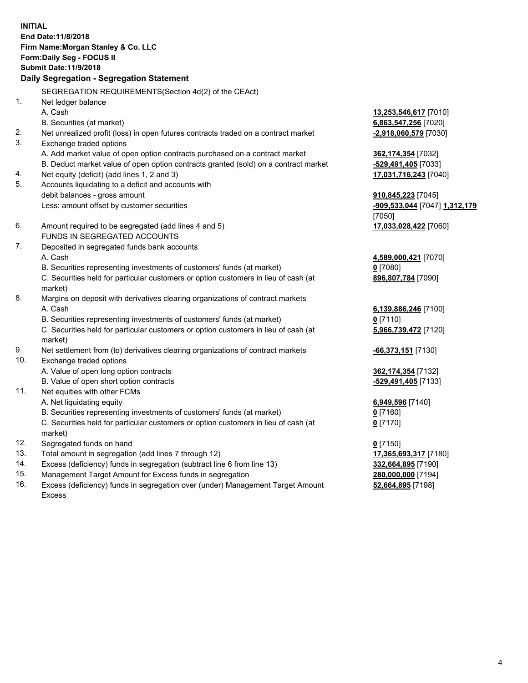**INITIAL End Date:11/8/2018 Firm Name:Morgan Stanley & Co. LLC Form:Daily Seg - FOCUS II Submit Date:11/9/2018 Daily Segregation - Segregation Statement** SEGREGATION REQUIREMENTS(Section 4d(2) of the CEAct) 1. Net ledger balance A. Cash **13,253,546,617** [7010] B. Securities (at market) **6,863,547,256** [7020] 2. Net unrealized profit (loss) in open futures contracts traded on a contract market **-2,918,060,579** [7030] 3. Exchange traded options A. Add market value of open option contracts purchased on a contract market **362,174,354** [7032] B. Deduct market value of open option contracts granted (sold) on a contract market **-529,491,405** [7033] 4. Net equity (deficit) (add lines 1, 2 and 3) **17,031,716,243** [7040] 5. Accounts liquidating to a deficit and accounts with debit balances - gross amount **910,845,223** [7045] Less: amount offset by customer securities **-909,533,044** [7047] **1,312,179** [7050] 6. Amount required to be segregated (add lines 4 and 5) **17,033,028,422** [7060] FUNDS IN SEGREGATED ACCOUNTS 7. Deposited in segregated funds bank accounts A. Cash **4,589,000,421** [7070] B. Securities representing investments of customers' funds (at market) **0** [7080] C. Securities held for particular customers or option customers in lieu of cash (at market) **896,807,784** [7090] 8. Margins on deposit with derivatives clearing organizations of contract markets A. Cash **6,139,886,246** [7100] B. Securities representing investments of customers' funds (at market) **0** [7110] C. Securities held for particular customers or option customers in lieu of cash (at market) **5,966,739,472** [7120] 9. Net settlement from (to) derivatives clearing organizations of contract markets **-66,373,151** [7130] 10. Exchange traded options A. Value of open long option contracts **362,174,354** [7132] B. Value of open short option contracts **-529,491,405** [7133] 11. Net equities with other FCMs A. Net liquidating equity **6,949,596** [7140] B. Securities representing investments of customers' funds (at market) **0** [7160] C. Securities held for particular customers or option customers in lieu of cash (at market) **0** [7170] 12. Segregated funds on hand **0** [7150] 13. Total amount in segregation (add lines 7 through 12) **17,365,693,317** [7180] 14. Excess (deficiency) funds in segregation (subtract line 6 from line 13) **332,664,895** [7190]

- 15. Management Target Amount for Excess funds in segregation **280,000,000** [7194]
- 16. Excess (deficiency) funds in segregation over (under) Management Target Amount Excess

**52,664,895** [7198]